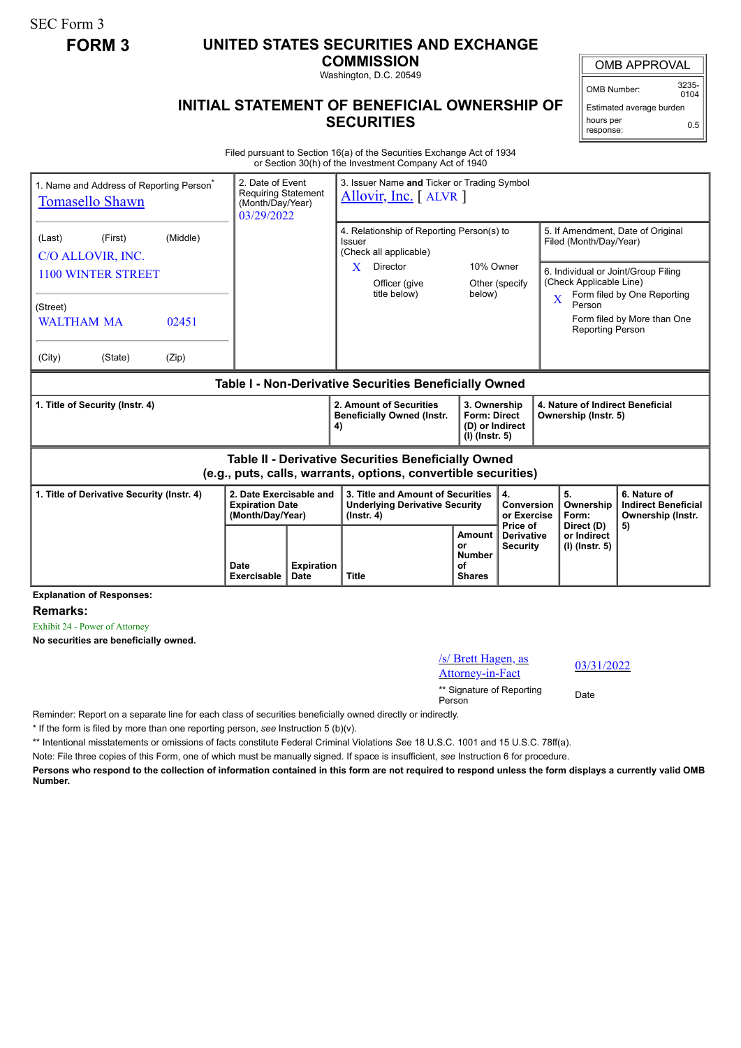SEC Form 3

## **FORM 3 UNITED STATES SECURITIES AND EXCHANGE**

**COMMISSION** Washington, D.C. 20549

OMB APPROVAL

OMB Number: 3235-  $0104$ 

Estimated average burden hours per response: 0.5

## **INITIAL STATEMENT OF BENEFICIAL OWNERSHIP OF SECURITIES**

Filed pursuant to Section 16(a) of the Securities Exchange Act of 1934 or Section 30(h) of the Investment Company Act of 1940

| 1. Name and Address of Reporting Person <sup>®</sup><br><b>Tomasello Shawn</b>                                        |                   |                                                                       | 2. Date of Event<br>3. Issuer Name and Ticker or Trading Symbol<br><b>Requiring Statement</b><br>Allovir, Inc. $\lceil$ ALVR $\rceil$<br>(Month/Day/Year)<br>03/29/2022 |                                                                                                |                                                                                                                  |                                                                            |                                      |                                                          |                                                                                        |                                                                                                                                        |
|-----------------------------------------------------------------------------------------------------------------------|-------------------|-----------------------------------------------------------------------|-------------------------------------------------------------------------------------------------------------------------------------------------------------------------|------------------------------------------------------------------------------------------------|------------------------------------------------------------------------------------------------------------------|----------------------------------------------------------------------------|--------------------------------------|----------------------------------------------------------|----------------------------------------------------------------------------------------|----------------------------------------------------------------------------------------------------------------------------------------|
| (First)<br>(Last)<br>C/O ALLOVIR, INC.<br><b>1100 WINTER STREET</b><br>(Street)<br><b>WALTHAM MA</b>                  | (Middle)<br>02451 |                                                                       |                                                                                                                                                                         | Issuer<br>X                                                                                    | 4. Relationship of Reporting Person(s) to<br>(Check all applicable)<br>Director<br>Officer (give<br>title below) | 10% Owner<br>below)                                                        | Other (specify                       | $\overline{\mathbf{X}}$                                  | Filed (Month/Day/Year)<br>(Check Applicable Line)<br>Person<br><b>Reporting Person</b> | 5. If Amendment, Date of Original<br>6. Individual or Joint/Group Filing<br>Form filed by One Reporting<br>Form filed by More than One |
| (City)<br>(State)                                                                                                     | (Zip)             |                                                                       |                                                                                                                                                                         |                                                                                                |                                                                                                                  |                                                                            |                                      |                                                          |                                                                                        |                                                                                                                                        |
| Table I - Non-Derivative Securities Beneficially Owned                                                                |                   |                                                                       |                                                                                                                                                                         |                                                                                                |                                                                                                                  |                                                                            |                                      |                                                          |                                                                                        |                                                                                                                                        |
| 1. Title of Security (Instr. 4)                                                                                       |                   |                                                                       |                                                                                                                                                                         | 4)                                                                                             | 2. Amount of Securities<br><b>Beneficially Owned (Instr.</b>                                                     | 3. Ownership<br><b>Form: Direct</b><br>(D) or Indirect<br>$(I)$ (lnstr. 5) |                                      | 4. Nature of Indirect Beneficial<br>Ownership (Instr. 5) |                                                                                        |                                                                                                                                        |
| Table II - Derivative Securities Beneficially Owned<br>(e.g., puts, calls, warrants, options, convertible securities) |                   |                                                                       |                                                                                                                                                                         |                                                                                                |                                                                                                                  |                                                                            |                                      |                                                          |                                                                                        |                                                                                                                                        |
| 1. Title of Derivative Security (Instr. 4)                                                                            |                   | 2. Date Exercisable and<br><b>Expiration Date</b><br>(Month/Day/Year) |                                                                                                                                                                         | 3. Title and Amount of Securities<br><b>Underlying Derivative Security</b><br>$($ lnstr. 4 $)$ |                                                                                                                  | 4.<br>Conversion<br>or Exercise<br>Price of                                | 5.<br>Ownership<br>Form:             |                                                          | 6. Nature of<br><b>Indirect Beneficial</b><br>Ownership (Instr.                        |                                                                                                                                        |
|                                                                                                                       |                   | Date<br>Exercisable                                                   | <b>Expiration</b><br><b>Date</b>                                                                                                                                        | or<br>Ωf<br><b>Title</b>                                                                       |                                                                                                                  | <b>Amount</b><br><b>Number</b><br><b>Shares</b>                            | <b>Derivative</b><br><b>Security</b> |                                                          | Direct (D)<br>or Indirect<br>(I) (Instr. 5)                                            | 5)                                                                                                                                     |

**Explanation of Responses:**

**Remarks:**

Exhibit 24 - Power of Attorney

**No securities are beneficially owned.**

/s/ Brett Hagen, as  $\frac{87 \text{ Beta Hagen, as}}{03/31/2022}$ \*\* Signature of Reporting Person Date

Reminder: Report on a separate line for each class of securities beneficially owned directly or indirectly.

\* If the form is filed by more than one reporting person, *see* Instruction 5 (b)(v).

\*\* Intentional misstatements or omissions of facts constitute Federal Criminal Violations *See* 18 U.S.C. 1001 and 15 U.S.C. 78ff(a).

Note: File three copies of this Form, one of which must be manually signed. If space is insufficient, *see* Instruction 6 for procedure.

**Persons who respond to the collection of information contained in this form are not required to respond unless the form displays a currently valid OMB Number.**